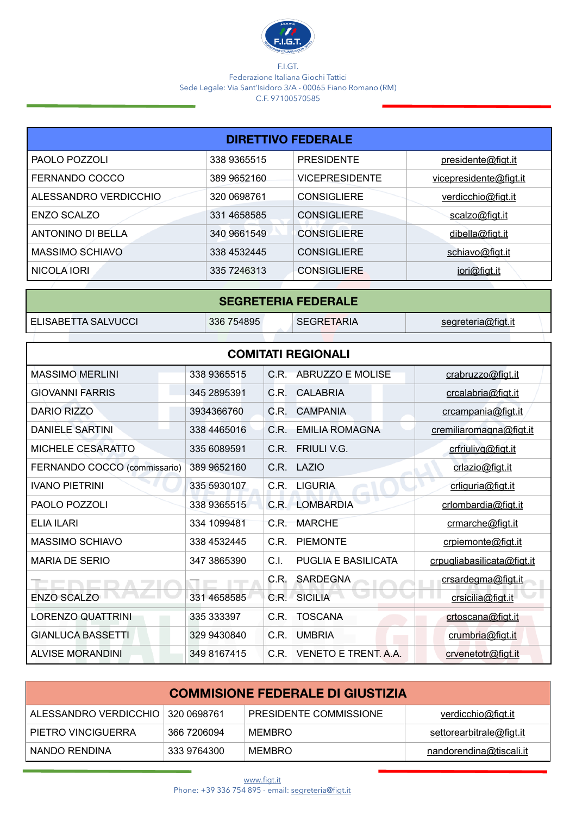

## F.I.GT. Federazione Italiana Giochi Tattici Sede Legale: Via Sant'Isidoro 3/A - 00065 Fiano Romano (RM) C.F. 97100570585

| <b>DIRETTIVO FEDERALE</b> |             |                       |                        |  |
|---------------------------|-------------|-----------------------|------------------------|--|
| PAOLO POZZOLI             | 338 9365515 | <b>PRESIDENTE</b>     | presidente@figt.it     |  |
| FERNANDO COCCO            | 389 9652160 | <b>VICEPRESIDENTE</b> | vicepresidente@figt.it |  |
| ALESSANDRO VERDICCHIO     | 320 0698761 | <b>CONSIGLIERE</b>    | verdicchio@figt.it     |  |
| ENZO SCALZO               | 331 4658585 | <b>CONSIGLIERE</b>    | scalzo@figt.it         |  |
| <b>ANTONINO DI BELLA</b>  | 340 9661549 | <b>CONSIGLIERE</b>    | dibella@figt.it        |  |
| MASSIMO SCHIAVO           | 338 4532445 | <b>CONSIGLIERE</b>    | schiavo@figt.it        |  |
| NICOLA IORI               | 335 7246313 | <b>CONSIGLIERE</b>    | iori@figt.it           |  |

| <b>SEGRETERIA FEDERALE</b>                                                   |  |  |  |  |
|------------------------------------------------------------------------------|--|--|--|--|
| ELISABETTA SALVUCCI<br>336 754895<br><b>SEGRETARIA</b><br>segreteria@figt.it |  |  |  |  |
|                                                                              |  |  |  |  |

| <b>COMITATI REGIONALI</b>    |             |                                    |                            |  |
|------------------------------|-------------|------------------------------------|----------------------------|--|
| <b>MASSIMO MERLINI</b>       | 338 9365515 | ABRUZZO E MOLISE<br>C.R.           | crabruzzo@figt.it          |  |
| <b>GIOVANNI FARRIS</b>       | 345 2895391 | <b>CALABRIA</b><br>C.R.            | crcalabria@figt.it         |  |
| DARIO RIZZO                  | 3934366760  | C.R.<br><b>CAMPANIA</b>            | crcampania@figt.it         |  |
| <b>DANIELE SARTINI</b>       | 338 4465016 | C.R.<br><b>EMILIA ROMAGNA</b>      | cremiliaromagna@figt.it    |  |
| <b>MICHELE CESARATTO</b>     | 335 6089591 | C.R. FRIULI V.G.                   | crfriulivg@figt.it         |  |
| FERNANDO COCCO (commissario) | 389 9652160 | C.R.<br>LAZIO                      | crlazio@figt.it            |  |
| <b>IVANO PIETRINI</b>        | 335 5930107 | C.R.<br><b>LIGURIA</b>             | crliguria@figt.it          |  |
| PAOLO POZZOLI                | 338 9365515 | <b>LOMBARDIA</b><br>C.R.           | crlombardia@figt.it        |  |
| <b>ELIA ILARI</b>            | 334 1099481 | C.R.<br><b>MARCHE</b>              | crmarche@figt.it           |  |
| <b>MASSIMO SCHIAVO</b>       | 338 4532445 | C.R.<br><b>PIEMONTE</b>            | crpiemonte@figt.it         |  |
| <b>MARIA DE SERIO</b>        | 347 3865390 | C.I.<br><b>PUGLIA E BASILICATA</b> | crpugliabasilicata@figt.it |  |
|                              |             | <b>SARDEGNA</b><br>C.R.            | crsardegma@figt.it         |  |
| <b>ENZO SCALZO</b>           | 331 4658585 | C.R. SICILIA                       | crsicilia@figt.it          |  |
| <b>LORENZO QUATTRINI</b>     | 335 333397  | <b>TOSCANA</b><br>C.R.             | crtoscana@figt.it          |  |
| <b>GIANLUCA BASSETTI</b>     | 329 9430840 | C.R.<br><b>UMBRIA</b>              | crumbria@figt.it           |  |
| <b>ALVISE MORANDINI</b>      | 349 8167415 | VENETO E TRENT. A.A.<br>C.R.       | crvenetotr@figt.it         |  |

| <b>COMMISIONE FEDERALE DI GIUSTIZIA</b> |             |                        |                          |
|-----------------------------------------|-------------|------------------------|--------------------------|
| ALESSANDRO VERDICCHIO   320 0698761     |             | PRESIDENTE COMMISSIONE | verdicchio@figt.it       |
| I PIETRO VINCIGUERRA                    | 366 7206094 | MEMBRO                 | settorearbitrale@figt.it |
| NANDO RENDINA                           | 333 9764300 | MEMBRO                 | nandorendina@tiscali.it  |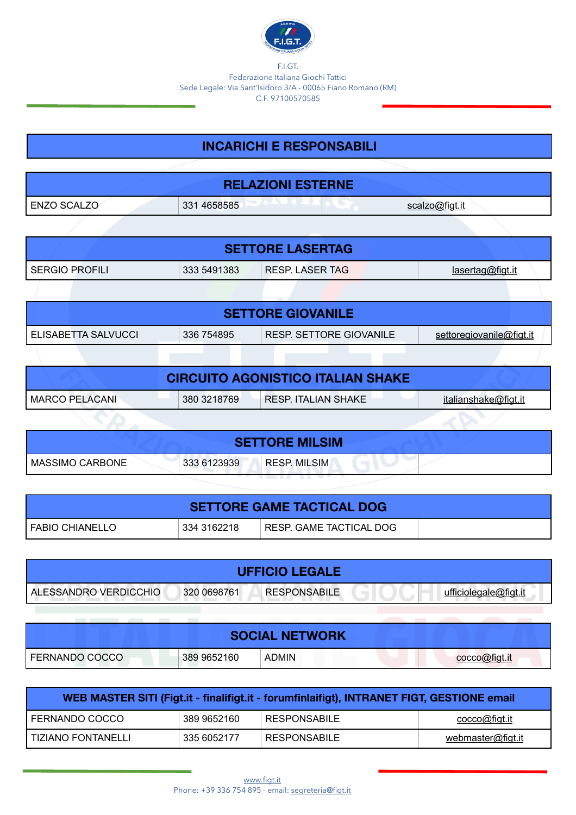

F.I.GT. Federazione Italiana Giochi Tattici Sede Legale: Via Sant'Isidoro 3/A - 00065 Fiano Romano (RM) C.F. 97100570585

## **INCARICHI E RESPONSABILI**

| <b>RELAZIONI ESTERNE</b> |             |                                   |  |  |
|--------------------------|-------------|-----------------------------------|--|--|
| ENZO SCALZO              | 331 4658585 | $\epsilon$ colzo $\omega$ fict it |  |  |

| <b>SETTORE LASERTAG</b> |             |                    |                  |  |
|-------------------------|-------------|--------------------|------------------|--|
| SERGIO PROFILI          | 333 5491383 | I RESP. LASER TAG. | lasertag@figt.it |  |

| <b>SETTORE GIOVANILE</b>                                                                 |  |  |  |  |
|------------------------------------------------------------------------------------------|--|--|--|--|
| RESP. SETTORE GIOVANILE<br>I ELISABETTA SALVUCCI<br>336 754895<br>settoregiovanile@figt. |  |  |  |  |

| <b>CIRCUITO AGONISTICO ITALIAN SHAKE</b> |             |                     |                      |  |
|------------------------------------------|-------------|---------------------|----------------------|--|
| <b>MARCO PELACANI</b>                    | 380 3218769 | RESP. ITALIAN SHAKE | italianshake@figt.it |  |
|                                          |             |                     |                      |  |

| <b>SETTORE MILSIM</b> |             |                     |  |  |
|-----------------------|-------------|---------------------|--|--|
| MASSIMO CARBONE       | 333 6123939 | <b>RESP. MILSIM</b> |  |  |

| <b>SETTORE GAME TACTICAL DOG</b> |             |                         |  |  |
|----------------------------------|-------------|-------------------------|--|--|
| I FABIO CHIANELLO                | 334 3162218 | RESP. GAME TACTICAL DOG |  |  |

| <b>UFFICIO LEGALE</b>   |             |                     |  |
|-------------------------|-------------|---------------------|--|
| I ALESSANDRO VERDICCHIO | 320 0698761 | <b>RESPONSABILE</b> |  |

|                |             | <b>SOCIAL NETWORK</b> |  |
|----------------|-------------|-----------------------|--|
| FERNANDO COCCO | 389 9652160 | <b>ADMIN</b>          |  |

| WEB MASTER SITI (Figt.it - finalifigt.it - forumfinlaifigt), INTRANET FIGT, GESTIONE email |             |              |                      |  |  |
|--------------------------------------------------------------------------------------------|-------------|--------------|----------------------|--|--|
| I FERNANDO COCCO                                                                           | 389 9652160 | RESPONSABILE | <u>cocco@figt.it</u> |  |  |
| l TIZIANO FONTANELLI                                                                       | 335 6052177 | RESPONSABILE | webmaster@figt.it    |  |  |